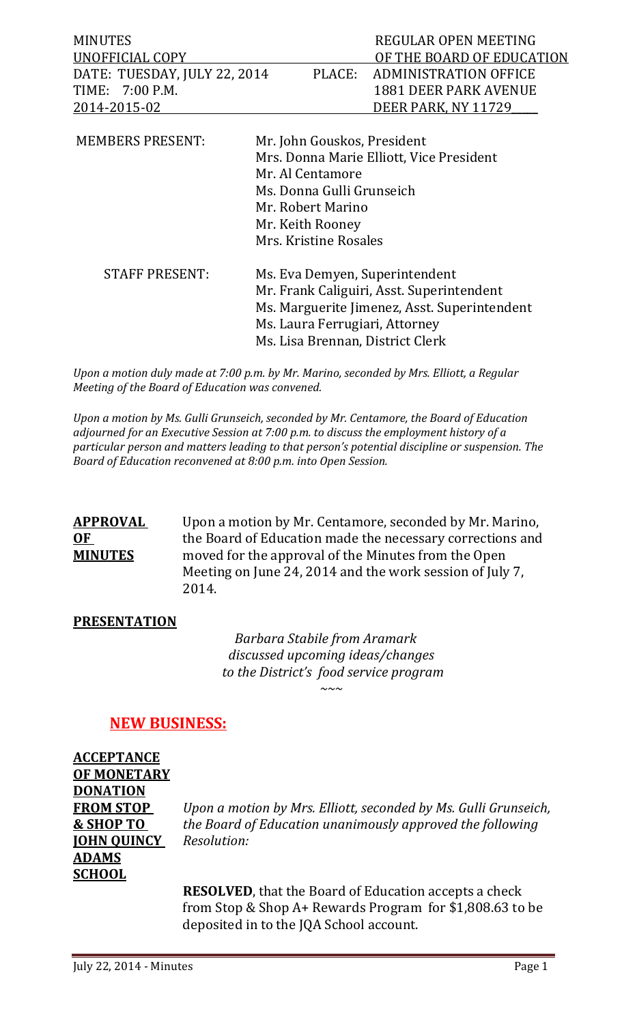| <b>MINUTES</b>               | REGULAR OPEN MEETING         |
|------------------------------|------------------------------|
| UNOFFICIAL COPY              | OF THE BOARD OF EDUCATION    |
| DATE: TUESDAY, JULY 22, 2014 | PLACE: ADMINISTRATION OFFICE |
| TIME: 7:00 P.M.              | 1881 DEER PARK AVENUE        |
| 2014-2015-02                 | DEER PARK, NY 11729          |
|                              |                              |

| <b>MEMBERS PRESENT:</b> | Mr. John Gouskos, President                  |
|-------------------------|----------------------------------------------|
|                         | Mrs. Donna Marie Elliott, Vice President     |
|                         | Mr. Al Centamore                             |
|                         | Ms. Donna Gulli Grunseich                    |
|                         | Mr. Robert Marino                            |
|                         | Mr. Keith Rooney                             |
|                         | Mrs. Kristine Rosales                        |
| <b>STAFF PRESENT:</b>   | Ms. Eva Demyen, Superintendent               |
|                         | Mr. Frank Caliguiri, Asst. Superintendent    |
|                         | Ms. Marguerite Jimenez, Asst. Superintendent |
|                         | Ms. Laura Ferrugiari, Attorney               |
|                         | Ms. Lisa Brennan, District Clerk             |

*Upon a motion duly made at 7:00 p.m. by Mr. Marino, seconded by Mrs. Elliott, a Regular Meeting of the Board of Education was convened.* 

*Upon a motion by Ms. Gulli Grunseich, seconded by Mr. Centamore, the Board of Education adjourned for an Executive Session at 7:00 p.m. to discuss the employment history of a particular person and matters leading to that person's potential discipline or suspension. The Board of Education reconvened at 8:00 p.m. into Open Session.*

**APPROVAL** Upon a motion by Mr. Centamore, seconded by Mr. Marino,<br> **OF** the Board of Education made the necessary corrections and **OF** the Board of Education made the necessary corrections and<br>**MINUTES** moved for the approval of the Minutes from the Open moved for the approval of the Minutes from the Open Meeting on June 24, 2014 and the work session of July 7, 2014.

## **PRESENTATION**

 *Barbara Stabile from Aramark discussed upcoming ideas/changes to the District's food service program ~~~*

## **NEW BUSINESS:**

**ACCEPTANCE OF MONETARY DONATION JOHN QUINCY** *Resolution:* **ADAMS SCHOOL**

**FROM STOP** *Upon a motion by Mrs. Elliott, seconded by Ms. Gulli Grunseich,* **& SHOP TO** *the Board of Education unanimously approved the following*

> **RESOLVED**, that the Board of Education accepts a check from Stop & Shop A+ Rewards Program for \$1,808.63 to be deposited in to the JQA School account.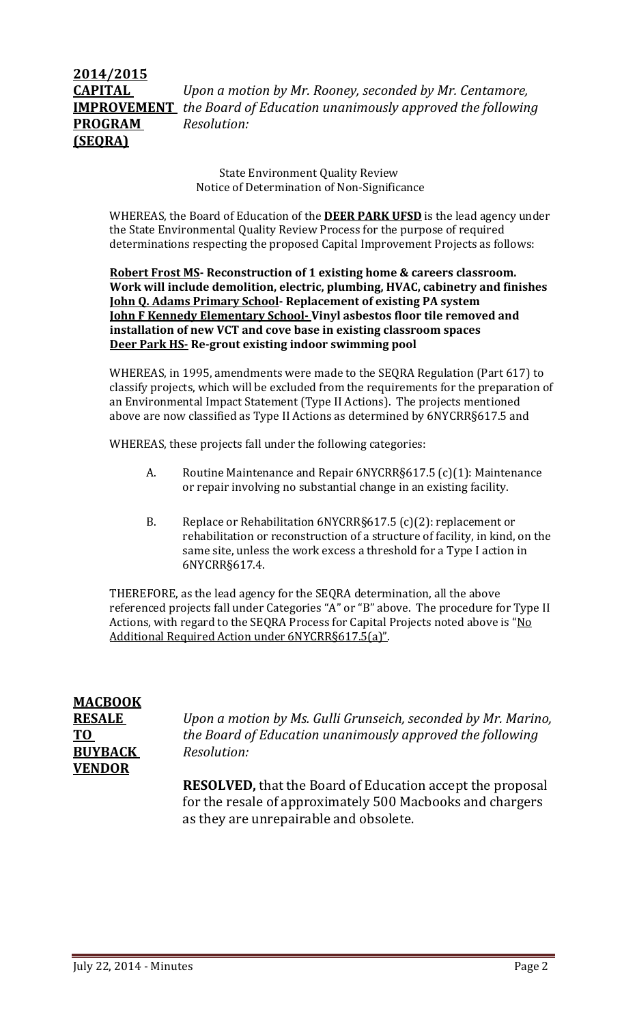## **2014/2015 CAPITAL** *Upon a motion by Mr. Rooney, seconded by Mr. Centamore,*  **IMPROVEMENT** *the Board of Education unanimously approved the following* **PROGRAM** *Resolution:* **(SEQRA)**

State Environment Quality Review Notice of Determination of Non-Significance

WHEREAS, the Board of Education of the **DEER PARK UFSD** is the lead agency under the State Environmental Quality Review Process for the purpose of required determinations respecting the proposed Capital Improvement Projects as follows:

**Robert Frost MS- Reconstruction of 1 existing home & careers classroom. Work will include demolition, electric, plumbing, HVAC, cabinetry and finishes John Q. Adams Primary School- Replacement of existing PA system John F Kennedy Elementary School- Vinyl asbestos floor tile removed and installation of new VCT and cove base in existing classroom spaces Deer Park HS- Re-grout existing indoor swimming pool**

WHEREAS, in 1995, amendments were made to the SEQRA Regulation (Part 617) to classify projects, which will be excluded from the requirements for the preparation of an Environmental Impact Statement (Type II Actions). The projects mentioned above are now classified as Type II Actions as determined by 6NYCRR§617.5 and

WHEREAS, these projects fall under the following categories:

- A. Routine Maintenance and Repair 6NYCRR§617.5 (c)(1): Maintenance or repair involving no substantial change in an existing facility.
- B. Replace or Rehabilitation 6NYCRR§617.5 (c)(2): replacement or rehabilitation or reconstruction of a structure of facility, in kind, on the same site, unless the work excess a threshold for a Type I action in 6NYCRR§617.4.

THEREFORE, as the lead agency for the SEQRA determination, all the above referenced projects fall under Categories "A" or "B" above. The procedure for Type II Actions, with regard to the SEQRA Process for Capital Projects noted above is "No Additional Required Action under 6NYCRR§617.5(a)".

# **MACBOOK BUYBACK** *Resolution:* **VENDOR**

**RESALE** *Upon a motion by Ms. Gulli Grunseich, seconded by Mr. Marino,*  **TO** *the Board of Education unanimously approved the following*

> **RESOLVED,** that the Board of Education accept the proposal for the resale of approximately 500 Macbooks and chargers as they are unrepairable and obsolete.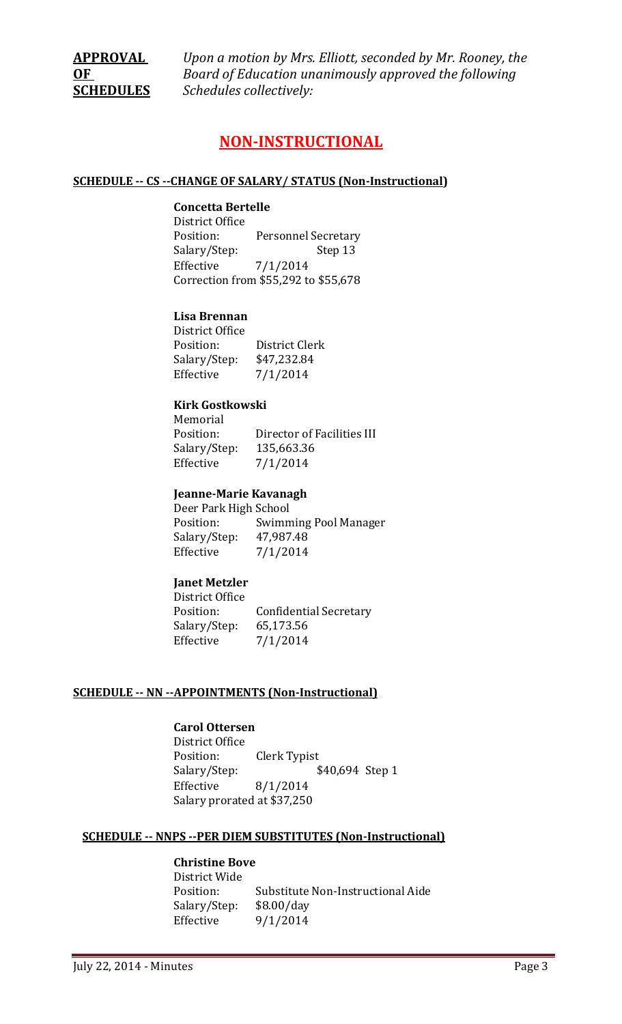**APPROVAL** *Upon a motion by Mrs. Elliott, seconded by Mr. Rooney, the*  **OF** *Board of Education unanimously approved the following*  **SCHEDULES** *Schedules collectively:*

## **NON-INSTRUCTIONAL**

#### **SCHEDULE -- CS --CHANGE OF SALARY/ STATUS (Non-Instructional)**

#### **Concetta Bertelle**

District Office Personnel Secretary<br>Step 13 Salary/Step: Effective 7/1/2014 Correction from \$55,292 to \$55,678

#### **Lisa Brennan**

| District Office |                |
|-----------------|----------------|
| Position:       | District Clerk |
| Salary/Step:    | \$47,232.84    |
| Effective       | 7/1/2014       |
|                 |                |

#### **Kirk Gostkowski**

Memorial<br>Position: Director of Facilities III Salary/Step: 135,663.36<br>Effective 7/1/2014 Effective

#### **Jeanne-Marie Kavanagh**

Deer Park High School<br>Position: Swimm **Swimming Pool Manager** Salary/Step: 47,987.48<br>Effective 7/1/2014  $7/1/2014$ 

#### **Janet Metzler**

District Office Confidential Secretary<br>65,173.56 Salary/Step: Effective 7/1/2014

#### **SCHEDULE -- NN --APPOINTMENTS (Non-Instructional)**

## **Carol Ottersen**

District Office Position: Clerk Typist<br>Salary/Step: \$ Salary/Step: \$40,694 Step 1<br>Effective 8/1/2014  $8/1/2014$ Salary prorated at \$37,250

#### **SCHEDULE -- NNPS --PER DIEM SUBSTITUTES (Non-Instructional)**

## **Christine Bove**

District Wide Substitute Non-Instructional Aide<br>\$8.00/day Salary/Step:<br>Effective  $9/1/2014$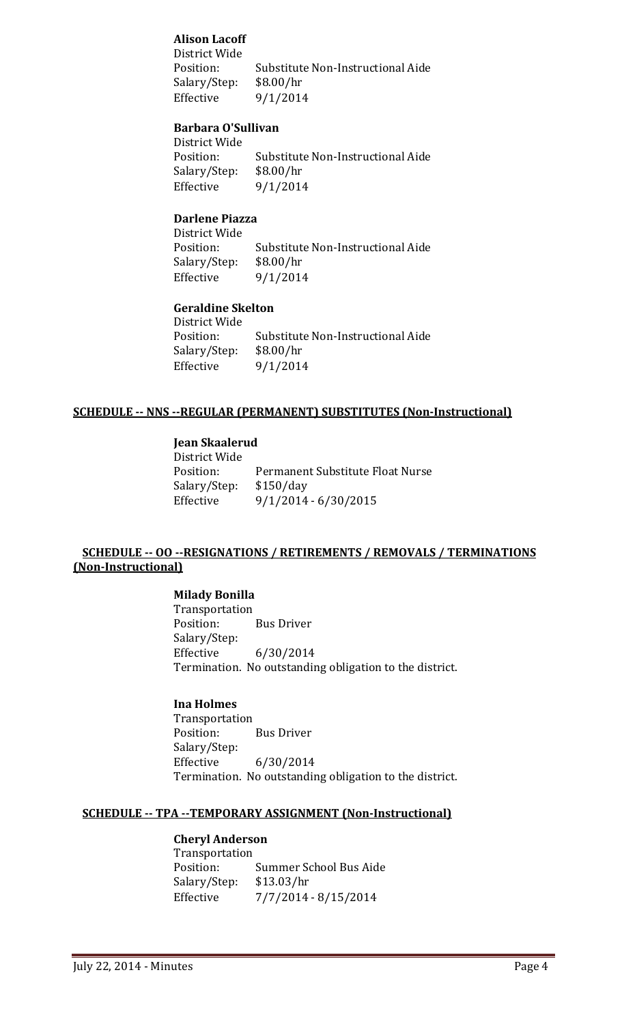## **Alison Lacoff**

District Wide Substitute Non-Instructional Aide<br>\$8.00/hr Salary/Step:<br>Effective 9/1/2014

#### **Barbara O'Sullivan**

District Wide Substitute Non-Instructional Aide<br>\$8.00/hr Salary/Step:<br>Effective  $9/1/2014$ 

## **Darlene Piazza**

District Wide Substitute Non-Instructional Aide<br>\$8.00/hr Salary/Step:<br>Effective Effective 9/1/2014

#### **Geraldine Skelton**

District Wide Substitute Non-Instructional Aide<br>\$8.00/hr Salary/Step:<br>Effective  $9/1/2014$ 

#### **SCHEDULE -- NNS --REGULAR (PERMANENT) SUBSTITUTES (Non-Instructional)**

## **Jean Skaalerud**

District Wide Permanent Substitute Float Nurse<br>\$150/day Salary/Step:<br>Effective Effective 9/1/2014 - 6/30/2015

## **SCHEDULE -- OO --RESIGNATIONS / RETIREMENTS / REMOVALS / TERMINATIONS (Non-Instructional)**

## **Milady Bonilla**

Transportation<br>Position: **Bus Driver** Salary/Step: Effective 6/30/2014 Termination. No outstanding obligation to the district.

## **Ina Holmes**

Transportation<br>Position: **Bus Driver** Salary/Step:<br>Effective Effective 6/30/2014 Termination. No outstanding obligation to the district.

#### **SCHEDULE -- TPA --TEMPORARY ASSIGNMENT (Non-Instructional)**

#### **Cheryl Anderson**

Transportation Summer School Bus Aide<br>\$13.03/hr Salary/Step: Effective 7/7/2014 - 8/15/2014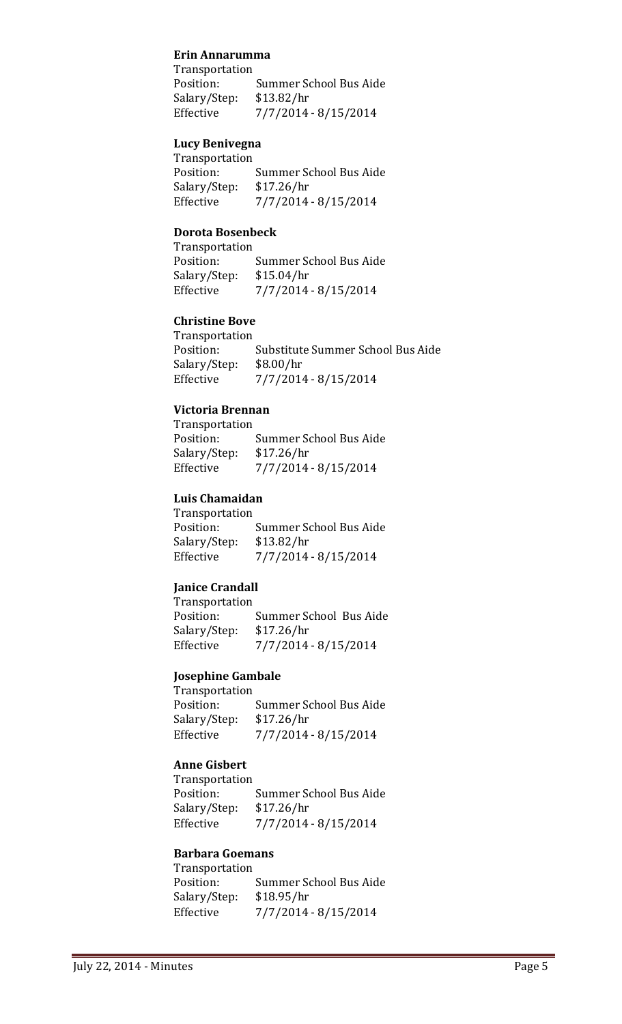#### **Erin Annarumma**

Transportation Summer School Bus Aide<br>\$13.82/hr Salary/Step:<br>Effective Effective 7/7/2014 - 8/15/2014

## **Lucy Benivegna**

Transportation Summer School Bus Aide<br>\$17.26/hr Salary/Step:<br>Effective Effective 7/7/2014 - 8/15/2014

#### **Dorota Bosenbeck**

| Transportation |                        |
|----------------|------------------------|
| Position:      | Summer School Bus Aide |
| Salary/Step:   | \$15.04/hr             |
| Effective      | 7/7/2014 - 8/15/2014   |

## **Christine Bove**

Transportation<br>Position: Substitute Summer School Bus Aide<br>\$8.00/hr Salary/Step:<br>Effective Effective 7/7/2014 - 8/15/2014

## **Victoria Brennan**

| Transportation         |
|------------------------|
| Summer School Bus Aide |
| \$17.26/hr             |
| 7/7/2014 - 8/15/2014   |
|                        |

## **Luis Chamaidan**

Transportation<br>Position: Summer School Bus Aide<br>\$13.82/hr Salary/Step:<br>Effective Effective 7/7/2014 - 8/15/2014

## **Janice Crandall**

Transportation<br>Position: Summer School Bus Aide<br>\$17.26/hr Salary/Step:<br>Effective Effective 7/7/2014 - 8/15/2014

#### **Josephine Gambale**

Transportation<br>Position: Summer School Bus Aide<br>\$17.26/hr Salary/Step:<br>Effective Effective 7/7/2014 - 8/15/2014

## **Anne Gisbert**

Transportation<br>Position: Summer School Bus Aide<br>\$17.26/hr Salary/Step:<br>Effective Effective 7/7/2014 - 8/15/2014

#### **Barbara Goemans** Transportation

| Transportation |                        |
|----------------|------------------------|
| Position:      | Summer School Bus Aide |
| Salary/Step:   | \$18.95/hr             |
| Effective      | 7/7/2014 - 8/15/2014   |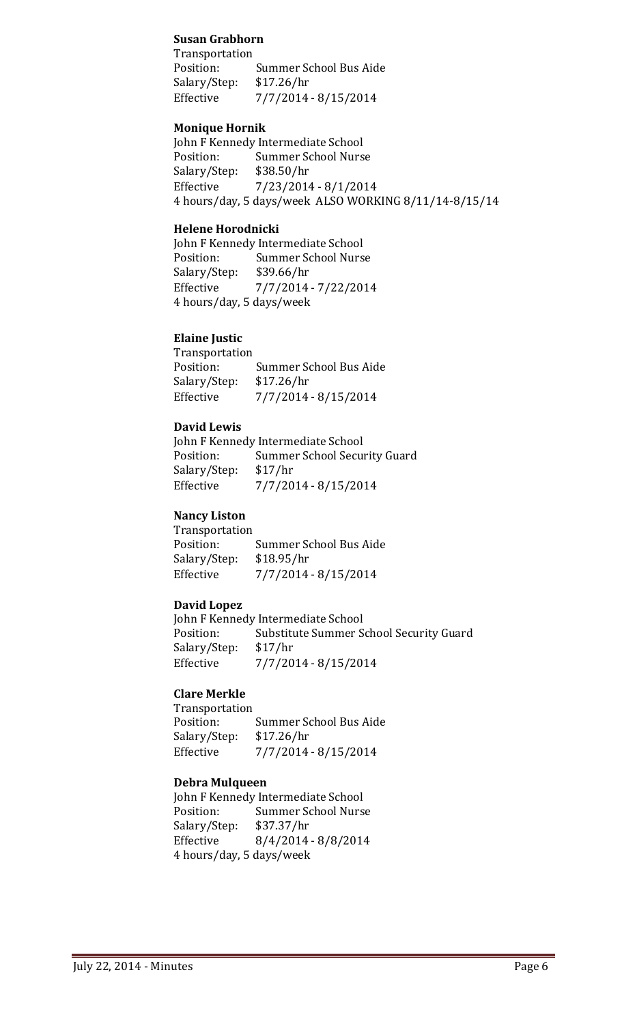## **Susan Grabhorn**

Transportation Summer School Bus Aide<br>\$17.26/hr Salary/Step:<br>Effective Effective 7/7/2014 - 8/15/2014

## **Monique Hornik**

John F Kennedy Intermediate School<br>Position: Summer School Nurs Summer School Nurse<br>\$38.50/hr Salary/Step:<br>Effective Effective 7/23/2014 - 8/1/2014 4 hours/day, 5 days/week ALSO WORKING 8/11/14-8/15/14

#### **Helene Horodnicki**

John F Kennedy Intermediate School<br>Position: Summer School Nurs Summer School Nurse<br>\$39.66/hr Salary/Step:<br>Effective Effective 7/7/2014 - 7/22/2014 4 hours/day, 5 days/week

### **Elaine Justic**

| Transportation         |
|------------------------|
| Summer School Bus Aide |
| \$17.26/hr             |
| 7/7/2014 - 8/15/2014   |
|                        |

#### **David Lewis**

|              | John F Kennedy Intermediate School |
|--------------|------------------------------------|
| Position:    | Summer School Security Guard       |
| Salary/Step: | \$17/hr                            |
| Effective    | 7/7/2014 - 8/15/2014               |

## **Nancy Liston**

| Transportation |                        |
|----------------|------------------------|
| Position:      | Summer School Bus Aide |
| Salary/Step:   | \$18.95/hr             |
| Effective      | 7/7/2014 - 8/15/2014   |
|                |                        |

## **David Lopez**

John F Kennedy Intermediate School<br>Position: Substitute Summer S Substitute Summer School Security Guard<br>\$17/hr Salary/Step:<br>Effective Effective 7/7/2014 - 8/15/2014

## **Clare Merkle**

Transportation<br>Position: Summer School Bus Aide<br>\$17.26/hr Salary/Step:<br>Effective Effective 7/7/2014 - 8/15/2014

#### **Debra Mulqueen**

John F Kennedy Intermediate School<br>Position: Summer School Nurs Summer School Nurse<br>\$37.37/hr Salary/Step:<br>Effective  $8/4/2014 - 8/8/2014$ 4 hours/day, 5 days/week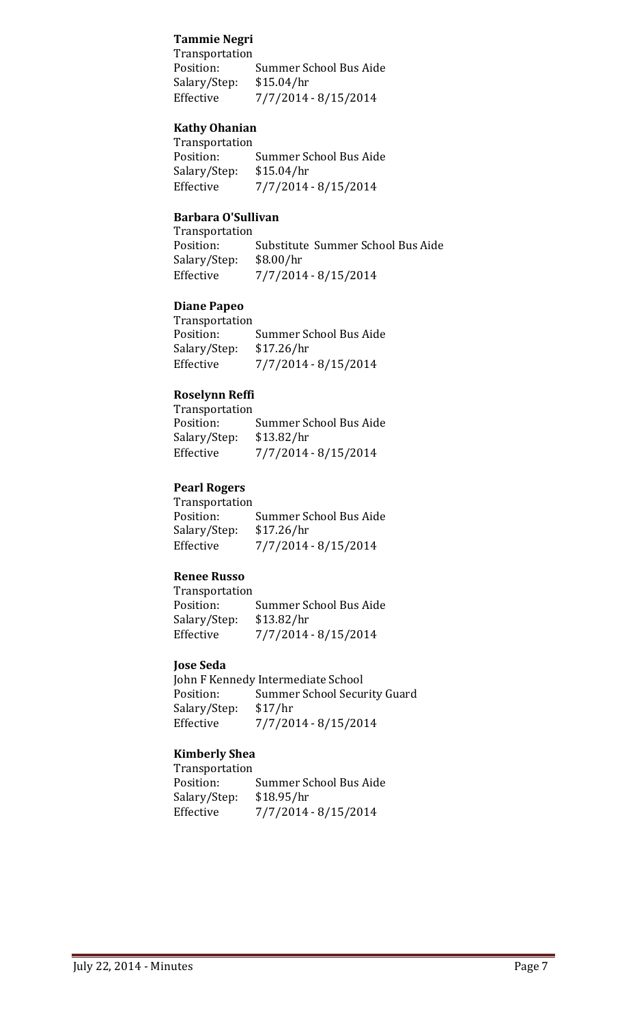## **Tammie Negri**

Transportation Summer School Bus Aide<br>\$15.04/hr Salary/Step:<br>Effective Effective 7/7/2014 - 8/15/2014

## **Kathy Ohanian**

Transportation<br>Position: Summer School Bus Aide<br>\$15.04/hr Salary/Step:<br>Effective Effective 7/7/2014 - 8/15/2014

## **Barbara O'Sullivan**

Transportation<br>Position: Substitute Summer School Bus Aide<br>\$8.00/hr Salary/Step:<br>Effective Effective 7/7/2014 - 8/15/2014

## **Diane Papeo**

| Transportation |                        |
|----------------|------------------------|
| Position:      | Summer School Bus Aide |
| Salary/Step:   | \$17.26/hr             |
| Effective      | 7/7/2014 - 8/15/2014   |

## **Roselynn Reffi**

| Transportation |                        |
|----------------|------------------------|
| Position:      | Summer School Bus Aide |
| Salary/Step:   | \$13.82/hr             |
| Effective      | 7/7/2014 - 8/15/2014   |

## **Pearl Rogers**

| Transportation         |
|------------------------|
| Summer School Bus Aide |
| \$17.26/hr             |
| 7/7/2014 - 8/15/2014   |
|                        |

## **Renee Russo**

| Position:                  | Summer School Bus Aide |
|----------------------------|------------------------|
| \$13.82/hr<br>Salary/Step: |                        |
| Effective                  | 7/7/2014 - 8/15/2014   |

## **Jose Seda**

John F Kennedy Intermediate School<br>Position: Summer School Secu Summer School Security Guard<br>\$17/hr Salary/Step: Effective 7/7/2014 - 8/15/2014

## **Kimberly Shea**

Transportation Summer School Bus Aide<br>\$18.95/hr Salary/Step:<br>Effective Effective 7/7/2014 - 8/15/2014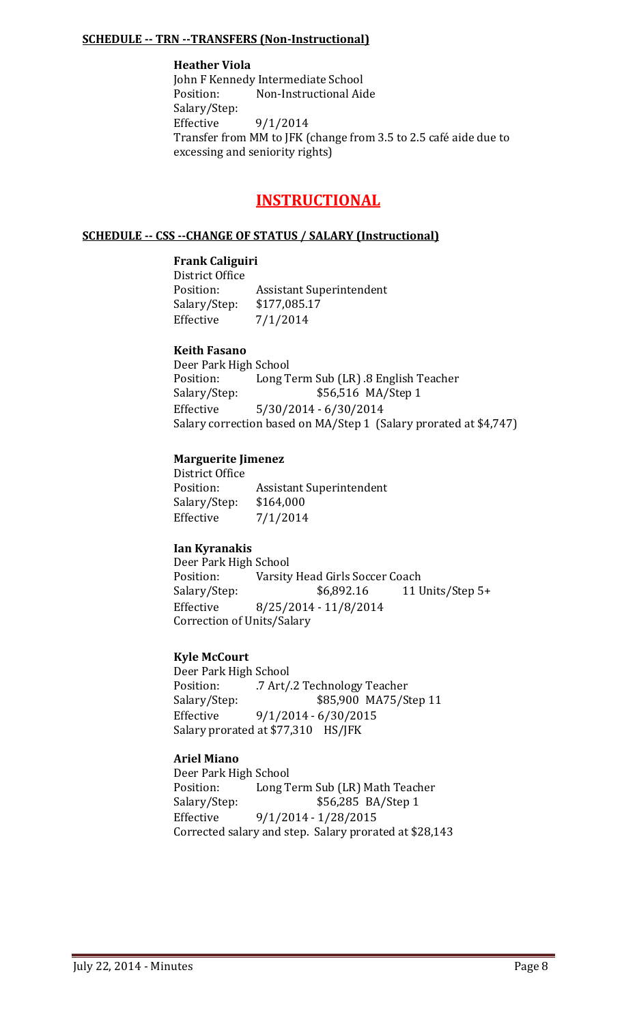### **SCHEDULE -- TRN --TRANSFERS (Non-Instructional)**

## **Heather Viola**

John F Kennedy Intermediate School<br>Position: Non-Instructional Aid Non-Instructional Aide Salary/Step:<br>Effective 9/1/2014 Transfer from MM to JFK (change from 3.5 to 2.5 café aide due to excessing and seniority rights)

## **INSTRUCTIONAL**

#### **SCHEDULE -- CSS --CHANGE OF STATUS / SALARY (Instructional)**

#### **Frank Caliguiri**

District Office<br>Position: **Assistant Superintendent** Salary/Step: \$177,085.17<br>Effective 7/1/2014  $7/1/2014$ 

## **Keith Fasano**

Deer Park High School<br>Position: Long T Position: Long Term Sub (LR) .8 English Teacher<br>Salary/Step: \$56,516 MA/Step 1 Salary/Step: \$56,516 MA/Step 1<br>Effective 5/30/2014 - 6/30/2014 Effective 5/30/2014 - 6/30/2014 Salary correction based on MA/Step 1 (Salary prorated at \$4,747)

#### **Marguerite Jimenez**

District Office Assistant Superintendent<br>\$164,000 Salary/Step: Effective 7/1/2014

## **Ian Kyranakis**

Deer Park High School Position: Varsity Head Girls Soccer Coach<br>Salary/Step: \$6,892.16 11 U 11 Units/Step 5+ Effective 8/25/2014 - 11/8/2014 Correction of Units/Salary

## **Kyle McCourt**

Deer Park High School<br>Position: 7 Art/ Position: .7 Art/.2 Technology Teacher<br>Salary/Step: \$85,900 MA75/S Salary/Step: \$85,900 MA75/Step 11<br>Effective 9/1/2014 - 6/30/2015  $9/1/2014 - 6/30/2015$ Salary prorated at \$77,310 HS/JFK

## **Ariel Miano**

Deer Park High School<br>Position: Long T Position: Long Term Sub (LR) Math Teacher<br>Salary/Step: \$56,285 BA/Step 1 \$56,285 BA/Step 1 Effective 9/1/2014 - 1/28/2015 Corrected salary and step. Salary prorated at \$28,143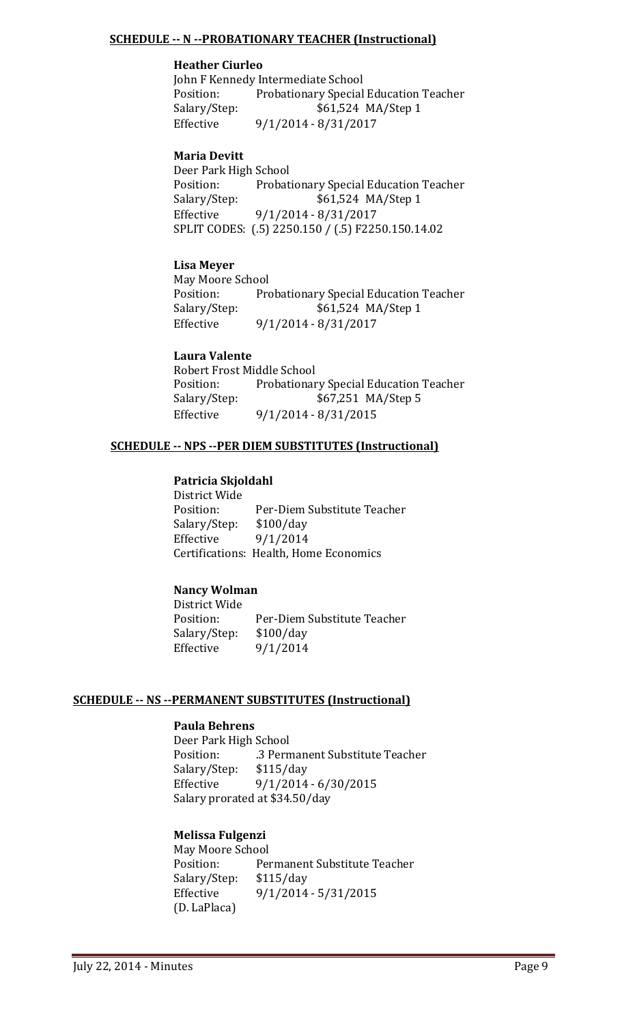## **SCHEDULE -- N --PROBATIONARY TEACHER (Instructional)**

## **Heather Ciurleo**

John F Kennedy Intermediate School<br>Position: Probationary Special Position: Probationary Special Education Teacher<br>Salary/Step: \$61,524 MA/Step 1 Salary/Step: \$61,524 MA/Step 1<br>Effective 9/1/2014 - 8/31/2017 Effective 9/1/2014 - 8/31/2017

#### **Maria Devitt**

Deer Park High School Position: Probationary Special Education Teacher<br>Salary/Step: \$61,524 MA/Step 1 \$61,524 MA/Step 1 Effective 9/1/2014 - 8/31/2017 SPLIT CODES: (.5) 2250.150 / (.5) F2250.150.14.02

#### **Lisa Meyer**

May Moore School<br>Position: Pro Position: Probationary Special Education Teacher<br>Salary/Step: \$61,524 MA/Step 1 Salary/Step: \$61,524 MA/Step 1<br>Effective 9/1/2014 - 8/31/2017 Effective 9/1/2014 - 8/31/2017

#### **Laura Valente**

Robert Frost Middle School<br>Position: Probationar Position: Probationary Special Education Teacher<br>Salary/Step: \$67,251 MA/Step 5 Salary/Step: \$67,251 MA/Step 5<br>Effective 9/1/2014 - 8/31/2015 Effective 9/1/2014 - 8/31/2015

#### **SCHEDULE -- NPS --PER DIEM SUBSTITUTES (Instructional)**

#### **Patricia Skjoldahl**

District Wide Per-Diem Substitute Teacher<br>\$100/day Salary/Step:<br>Effective Effective 9/1/2014 Certifications: Health, Home Economics

## **Nancy Wolman**

District Wide Per-Diem Substitute Teacher<br>\$100/day Salary/Step:<br>Effective Effective 9/1/2014

#### **SCHEDULE -- NS --PERMANENT SUBSTITUTES (Instructional)**

#### **Paula Behrens**

Deer Park High School .3 Permanent Substitute Teacher Salary/Step: \$115/day Effective 9/1/2014 - 6/30/2015 Salary prorated at \$34.50/day

## **Melissa Fulgenzi**

May Moore School<br>Position: Per Permanent Substitute Teacher<br>\$115/day Salary/Step:<br>Effective Effective 9/1/2014 - 5/31/2015 (D. LaPlaca)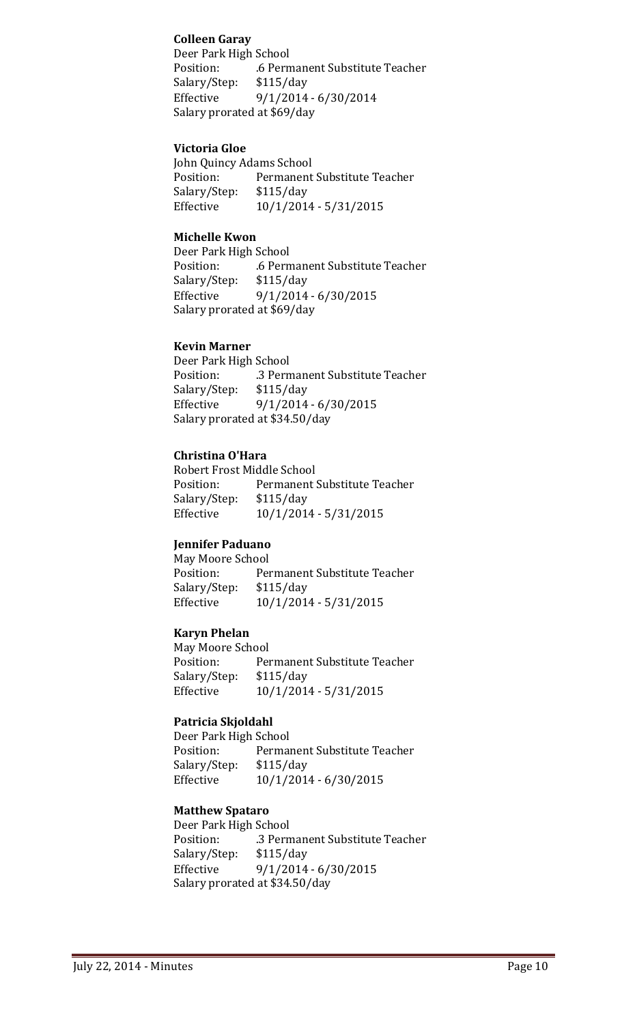## **Colleen Garay**

Deer Park High School .6 Permanent Substitute Teacher<br>\$115/day Salary/Step: Effective 9/1/2014 - 6/30/2014 Salary prorated at \$69/day

## **Victoria Gloe**

John Quincy Adams School<br>Position: Permanent Permanent Substitute Teacher<br>\$115/day Salary/Step:<br>Effective Effective 10/1/2014 - 5/31/2015

#### **Michelle Kwon**

Deer Park High School .6 Permanent Substitute Teacher<br>\$115/day Salary/Step:<br>Effective  $9/1/2014 - 6/30/2015$ Salary prorated at \$69/day

## **Kevin Marner**

Deer Park High School<br>Position: .3 Pern .3 Permanent Substitute Teacher<br>\$115/day Salary/Step: Effective 9/1/2014 - 6/30/2015 Salary prorated at \$34.50/day

#### **Christina O'Hara**

Robert Frost Middle School<br>Position: Permanent ! Permanent Substitute Teacher<br>\$115/day Salary/Step:<br>Effective Effective 10/1/2014 - 5/31/2015

## **Jennifer Paduano**

May Moore School<br>Position: Per Permanent Substitute Teacher<br>\$115/day Salary/Step:<br>Effective Effective 10/1/2014 - 5/31/2015

## **Karyn Phelan**

May Moore School<br>Position: Per Permanent Substitute Teacher<br>\$115/day Salary/Step:<br>Effective Effective 10/1/2014 - 5/31/2015

## **Patricia Skjoldahl**

Deer Park High School<br>Position: Permai Permanent Substitute Teacher<br>\$115/day Salary/Step:<br>Effective Effective 10/1/2014 - 6/30/2015

## **Matthew Spataro**

Deer Park High School<br>Position: .3 Pern .3 Permanent Substitute Teacher<br>\$115/day Salary/Step: Effective 9/1/2014 - 6/30/2015 Salary prorated at \$34.50/day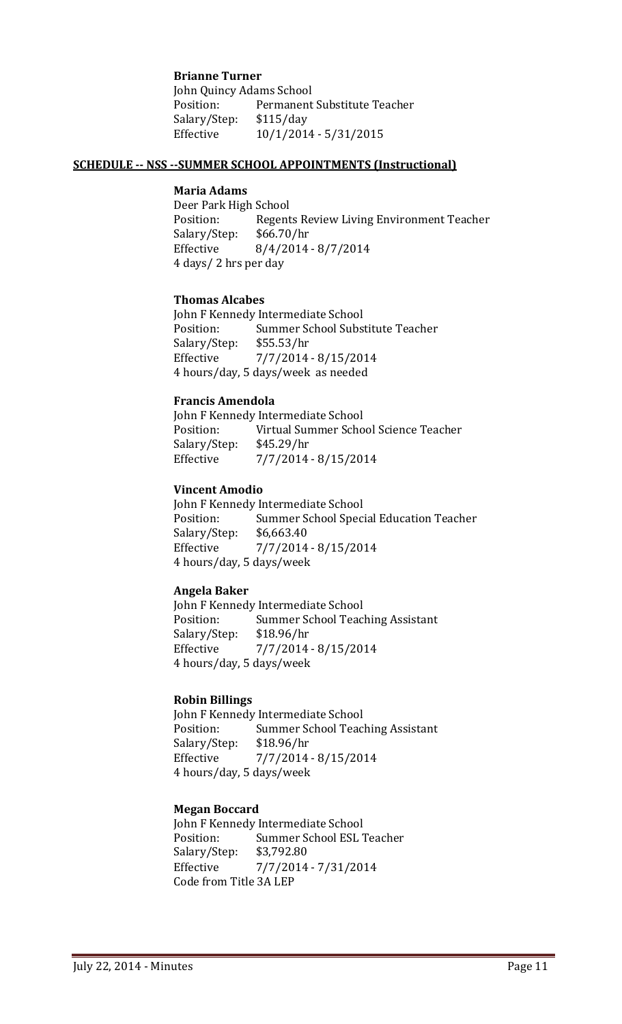#### **Brianne Turner**

John Quincy Adams School<br>Position: Permanent Permanent Substitute Teacher<br>\$115/day Salary/Step:<br>Effective Effective 10/1/2014 - 5/31/2015

#### **SCHEDULE -- NSS --SUMMER SCHOOL APPOINTMENTS (Instructional)**

#### **Maria Adams**

Deer Park High School<br>Position: Regent Regents Review Living Environment Teacher<br>\$66.70/hr Salary/Step:<br>Effective  $8/4/2014 - 8/7/2014$ 4 days/ 2 hrs per day

#### **Thomas Alcabes**

John F Kennedy Intermediate School<br>Position: Summer School Subs Summer School Substitute Teacher<br>\$55.53/hr Salary/Step:<br>Effective Effective 7/7/2014 - 8/15/2014 4 hours/day, 5 days/week as needed

#### **Francis Amendola**

John F Kennedy Intermediate School<br>Position: Virtual Summer Scho Virtual Summer School Science Teacher<br>\$45.29/hr Salary/Step:<br>Effective Effective 7/7/2014 - 8/15/2014

#### **Vincent Amodio**

John F Kennedy Intermediate School<br>Position: Summer School Speci Summer School Special Education Teacher<br>\$6,663.40 Salary/Step:<br>Effective Effective 7/7/2014 - 8/15/2014 4 hours/day, 5 days/week

#### **Angela Baker**

John F Kennedy Intermediate School<br>Position: Summer School Teac Summer School Teaching Assistant<br>\$18.96/hr Salary/Step:<br>Effective Effective 7/7/2014 - 8/15/2014 4 hours/day, 5 days/week

#### **Robin Billings**

John F Kennedy Intermediate School<br>Position: Summer School Teacl Summer School Teaching Assistant<br>\$18.96/hr Salary/Step:<br>Effective Effective 7/7/2014 - 8/15/2014 4 hours/day, 5 days/week

#### **Megan Boccard**

John F Kennedy Intermediate School<br>Position: Summer School ESL Summer School ESL Teacher<br>\$3,792.80 Salary/Step: Effective 7/7/2014 - 7/31/2014 Code from Title 3A LEP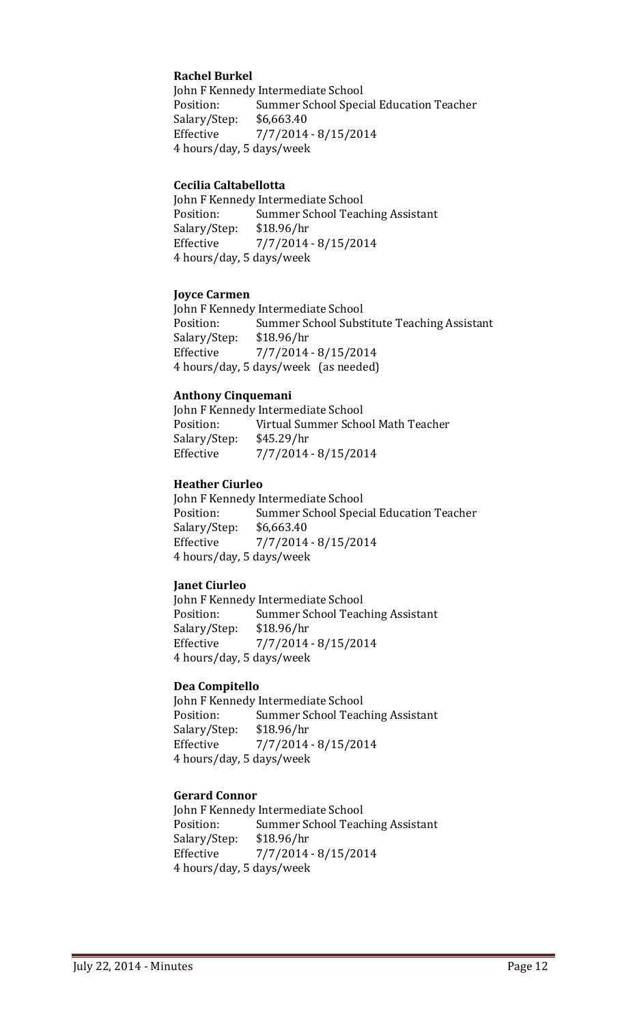## **Rachel Burkel**

John F Kennedy Intermediate School<br>Position: Summer School Spec Summer School Special Education Teacher<br>\$6,663.40 Salary/Step:<br>Effective Effective 7/7/2014 - 8/15/2014 4 hours/day, 5 days/week

#### **Cecilia Caltabellotta**

John F Kennedy Intermediate School<br>Position: Summer School Teac Summer School Teaching Assistant<br>\$18.96/hr Salary/Step:<br>Effective Effective 7/7/2014 - 8/15/2014 4 hours/day, 5 days/week

#### **Joyce Carmen**

John F Kennedy Intermediate School<br>Position: Summer School Subs Summer School Substitute Teaching Assistant<br>\$18.96/hr Salary/Step:<br>Effective Effective 7/7/2014 - 8/15/2014 4 hours/day, 5 days/week (as needed)

#### **Anthony Cinquemani**

John F Kennedy Intermediate School<br>Position: Virtual Summer Scho Virtual Summer School Math Teacher<br>\$45.29/hr Salary/Step: Effective 7/7/2014 - 8/15/2014

#### **Heather Ciurleo**

John F Kennedy Intermediate School<br>Position: Summer School Spec Summer School Special Education Teacher<br>\$6,663.40 Salary/Step:<br>Effective Effective 7/7/2014 - 8/15/2014 4 hours/day, 5 days/week

## **Janet Ciurleo**

John F Kennedy Intermediate School<br>Position: Summer School Teac Summer School Teaching Assistant<br>\$18.96/hr Salary/Step:<br>Effective Effective 7/7/2014 - 8/15/2014 4 hours/day, 5 days/week

#### **Dea Compitello**

John F Kennedy Intermediate School<br>Position: Summer School Teac Summer School Teaching Assistant<br>\$18.96/hr Salary/Step: Effective 7/7/2014 - 8/15/2014 4 hours/day, 5 days/week

#### **Gerard Connor**

John F Kennedy Intermediate School<br>Position: Summer School Teac Summer School Teaching Assistant<br>\$18.96/hr Salary/Step:<br>Effective Effective 7/7/2014 - 8/15/2014 4 hours/day, 5 days/week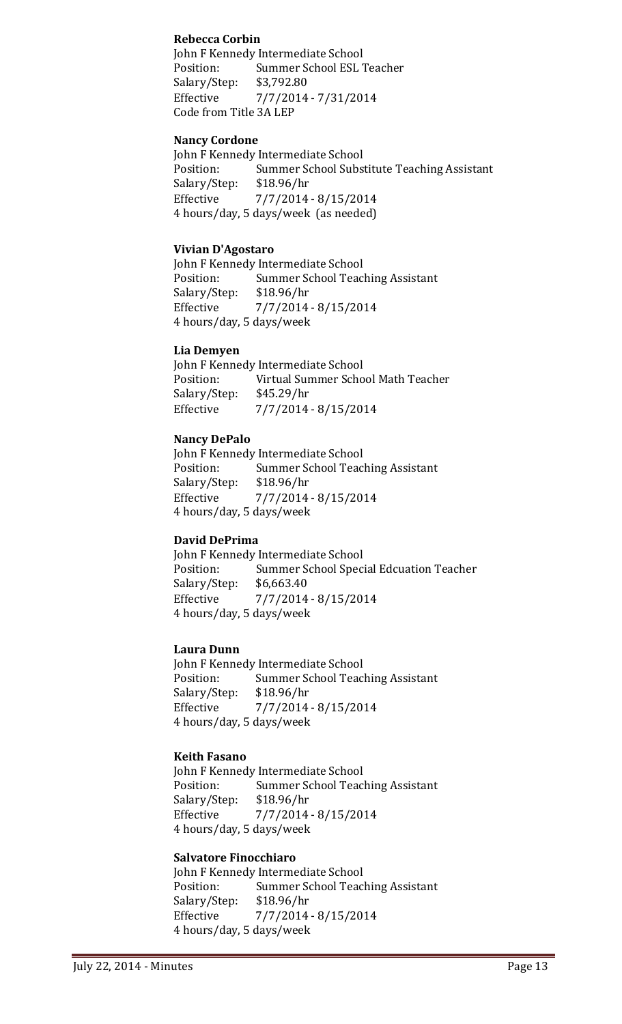## **Rebecca Corbin**

John F Kennedy Intermediate School Position: Summer School ESL Teacher<br>Salary/Step: \$3,792.80 Salary/Step:<br>Effective Effective 7/7/2014 - 7/31/2014 Code from Title 3A LEP

## **Nancy Cordone**

John F Kennedy Intermediate School<br>Position: Summer School Subs Summer School Substitute Teaching Assistant<br>\$18.96/hr Salary/Step:<br>Effective Effective 7/7/2014 - 8/15/2014 4 hours/day, 5 days/week (as needed)

#### **Vivian D'Agostaro**

John F Kennedy Intermediate School<br>Position: Summer School Teac Summer School Teaching Assistant<br>\$18.96/hr Salary/Step:<br>Effective Effective 7/7/2014 - 8/15/2014 4 hours/day, 5 days/week

#### **Lia Demyen**

John F Kennedy Intermediate School<br>Position: Virtual Summer Scho Virtual Summer School Math Teacher<br>\$45.29/hr Salary/Step:<br>Effective Effective 7/7/2014 - 8/15/2014

## **Nancy DePalo**

John F Kennedy Intermediate School<br>Position: Summer School Teac Summer School Teaching Assistant<br>\$18.96/hr Salary/Step: Effective 7/7/2014 - 8/15/2014 4 hours/day, 5 days/week

## **David DePrima**

John F Kennedy Intermediate School<br>Position: Summer School Spec Summer School Special Edcuation Teacher<br>\$6,663.40 Salary/Step:<br>Effective Effective 7/7/2014 - 8/15/2014 4 hours/day, 5 days/week

#### **Laura Dunn**

John F Kennedy Intermediate School<br>Position: Summer School Teac Summer School Teaching Assistant<br>\$18.96/hr Salary/Step:<br>Effective Effective 7/7/2014 - 8/15/2014 4 hours/day, 5 days/week

## **Keith Fasano**

John F Kennedy Intermediate School<br>Position: Summer School Teac Summer School Teaching Assistant<br>\$18.96/hr Salary/Step:<br>Effective Effective 7/7/2014 - 8/15/2014 4 hours/day, 5 days/week

## **Salvatore Finocchiaro**

John F Kennedy Intermediate School<br>Position: Summer School Teac Summer School Teaching Assistant<br>\$18.96/hr Salary/Step:<br>Effective Effective 7/7/2014 - 8/15/2014 4 hours/day, 5 days/week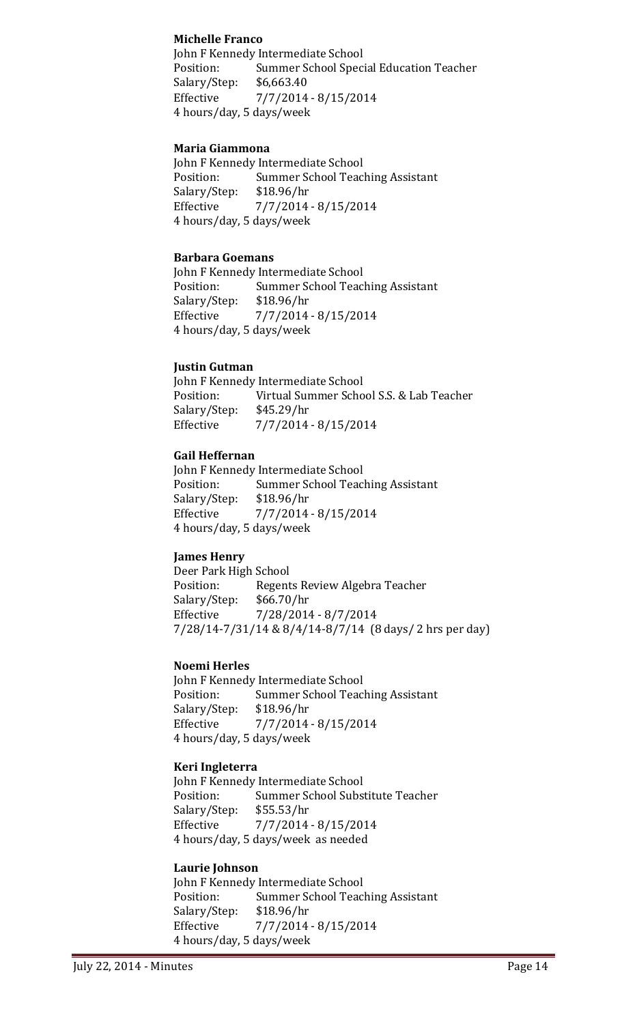## **Michelle Franco**

John F Kennedy Intermediate School Position: Summer School Special Education Teacher<br>Salary/Step: \$6,663.40 Salary/Step:<br>Effective Effective 7/7/2014 - 8/15/2014 4 hours/day, 5 days/week

## **Maria Giammona**

John F Kennedy Intermediate School<br>Position: Summer School Teac Summer School Teaching Assistant<br>\$18.96/hr Salary/Step: Effective 7/7/2014 - 8/15/2014 4 hours/day, 5 days/week

## **Barbara Goemans**

John F Kennedy Intermediate School<br>Position: Summer School Teac Summer School Teaching Assistant<br>\$18.96/hr Salary/Step:<br>Effective Effective 7/7/2014 - 8/15/2014 4 hours/day, 5 days/week

#### **Justin Gutman**

John F Kennedy Intermediate School<br>Position: Virtual Summer Scho Virtual Summer School S.S. & Lab Teacher<br>\$45.29/hr Salary/Step:<br>Effective Effective 7/7/2014 - 8/15/2014

## **Gail Heffernan**

John F Kennedy Intermediate School<br>Position: Summer School Teac Summer School Teaching Assistant<br>\$18.96/hr Salary/Step:<br>Effective Effective 7/7/2014 - 8/15/2014 4 hours/day, 5 days/week

## **James Henry**

Deer Park High School<br>Position: Regent Regents Review Algebra Teacher<br>\$66.70/hr Salary/Step:<br>Effective Effective 7/28/2014 - 8/7/2014 7/28/14-7/31/14 & 8/4/14-8/7/14 (8 days/ 2 hrs per day)

#### **Noemi Herles**

John F Kennedy Intermediate School<br>Position: Summer School Teac Summer School Teaching Assistant Salary/Step: \$18.96/hr Effective 7/7/2014 - 8/15/2014 4 hours/day, 5 days/week

## **Keri Ingleterra**

John F Kennedy Intermediate School<br>Position: Summer School Subs Summer School Substitute Teacher<br>\$55.53/hr Salary/Step:<br>Effective Effective 7/7/2014 - 8/15/2014 4 hours/day, 5 days/week as needed

## **Laurie Johnson**

John F Kennedy Intermediate School<br>Position: Summer School Teac Summer School Teaching Assistant<br>\$18.96/hr Salary/Step:<br>Effective Effective 7/7/2014 - 8/15/2014 4 hours/day, 5 days/week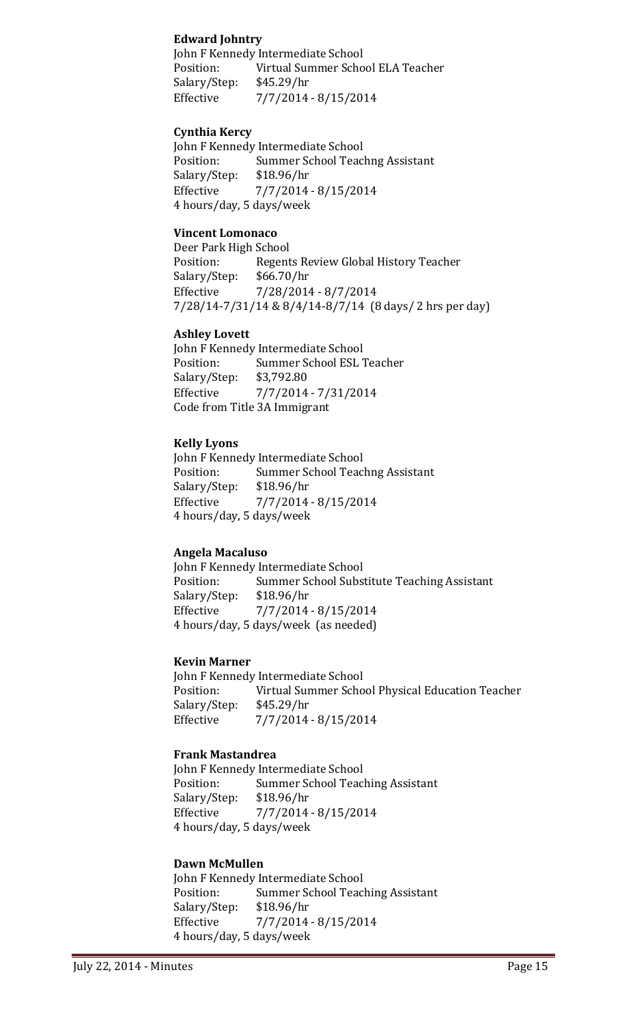## **Edward Johntry**

John F Kennedy Intermediate School<br>Position: Virtual Summer Scho Virtual Summer School ELA Teacher<br>\$45.29/hr Salary/Step:<br>Effective Effective 7/7/2014 - 8/15/2014

## **Cynthia Kercy**

John F Kennedy Intermediate School<br>Position: Summer School Teac Summer School Teachng Assistant<br>\$18.96/hr Salary/Step: Effective 7/7/2014 - 8/15/2014 4 hours/day, 5 days/week

## **Vincent Lomonaco**

Deer Park High School<br>Position: Regent Regents Review Global History Teacher<br>\$66.70/hr Salary/Step:<br>Effective Effective 7/28/2014 - 8/7/2014 7/28/14-7/31/14 & 8/4/14-8/7/14 (8 days/ 2 hrs per day)

#### **Ashley Lovett**

John F Kennedy Intermediate School<br>Position: Summer School ESL Summer School ESL Teacher<br>\$3,792.80 Salary/Step:<br>Effective Effective 7/7/2014 - 7/31/2014 Code from Title 3A Immigrant

#### **Kelly Lyons**

John F Kennedy Intermediate School<br>Position: Summer School Teac Summer School Teachng Assistant<br>\$18.96/hr Salary/Step:<br>Effective  $7/7/2014 - 8/15/2014$ 4 hours/day, 5 days/week

## **Angela Macaluso**

John F Kennedy Intermediate School<br>Position: Summer School Subs Summer School Substitute Teaching Assistant<br>\$18.96/hr Salary/Step:<br>Effective Effective 7/7/2014 - 8/15/2014 4 hours/day, 5 days/week (as needed)

#### **Kevin Marner**

John F Kennedy Intermediate School<br>Position: Virtual Summer Scho Virtual Summer School Physical Education Teacher<br>\$45.29/hr Salary/Step:<br>Effective Effective 7/7/2014 - 8/15/2014

#### **Frank Mastandrea**

John F Kennedy Intermediate School<br>Position: Summer School Teac Summer School Teaching Assistant<br>\$18.96/hr Salary/Step:<br>Effective Effective 7/7/2014 - 8/15/2014 4 hours/day, 5 days/week

#### **Dawn McMullen**

John F Kennedy Intermediate School<br>Position: Summer School Teacl Summer School Teaching Assistant<br>\$18.96/hr Salary/Step: Effective 7/7/2014 - 8/15/2014 4 hours/day, 5 days/week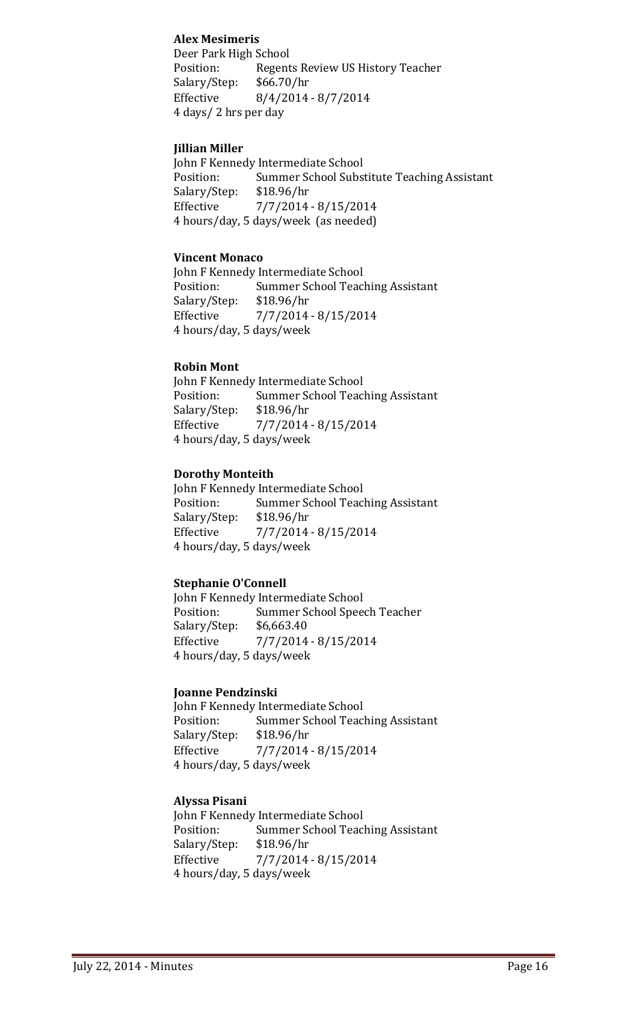## **Alex Mesimeris**

Deer Park High School Position: Regents Review US History Teacher<br>Salary/Step: \$66.70/hr Salary/Step: Effective 8/4/2014 - 8/7/2014 4 days/ 2 hrs per day

## **Jillian Miller**

John F Kennedy Intermediate School<br>Position: Summer School Subs Summer School Substitute Teaching Assistant<br>\$18.96/hr Salary/Step: Effective 7/7/2014 - 8/15/2014 4 hours/day, 5 days/week (as needed)

#### **Vincent Monaco**

John F Kennedy Intermediate School<br>Position: Summer School Teac Summer School Teaching Assistant<br>\$18.96/hr Salary/Step:<br>Effective Effective 7/7/2014 - 8/15/2014 4 hours/day, 5 days/week

#### **Robin Mont**

John F Kennedy Intermediate School<br>Position: Summer School Teac Summer School Teaching Assistant<br>\$18.96/hr Salary/Step:<br>Effective Effective 7/7/2014 - 8/15/2014 4 hours/day, 5 days/week

#### **Dorothy Monteith**

John F Kennedy Intermediate School<br>Position: Summer School Teac Summer School Teaching Assistant<br>\$18.96/hr Salary/Step: Effective 7/7/2014 - 8/15/2014 4 hours/day, 5 days/week

## **Stephanie O'Connell**

John F Kennedy Intermediate School<br>Position: Summer School Spee Summer School Speech Teacher<br>\$6,663.40 Salary/Step:<br>Effective Effective 7/7/2014 - 8/15/2014 4 hours/day, 5 days/week

#### **Joanne Pendzinski**

John F Kennedy Intermediate School<br>Position: Summer School Teac Summer School Teaching Assistant<br>\$18.96/hr Salary/Step:<br>Effective  $7/7/2014 - 8/15/2014$ 4 hours/day, 5 days/week

## **Alyssa Pisani**

John F Kennedy Intermediate School<br>Position: Summer School Teac Summer School Teaching Assistant<br>\$18.96/hr Salary/Step: Effective 7/7/2014 - 8/15/2014 4 hours/day, 5 days/week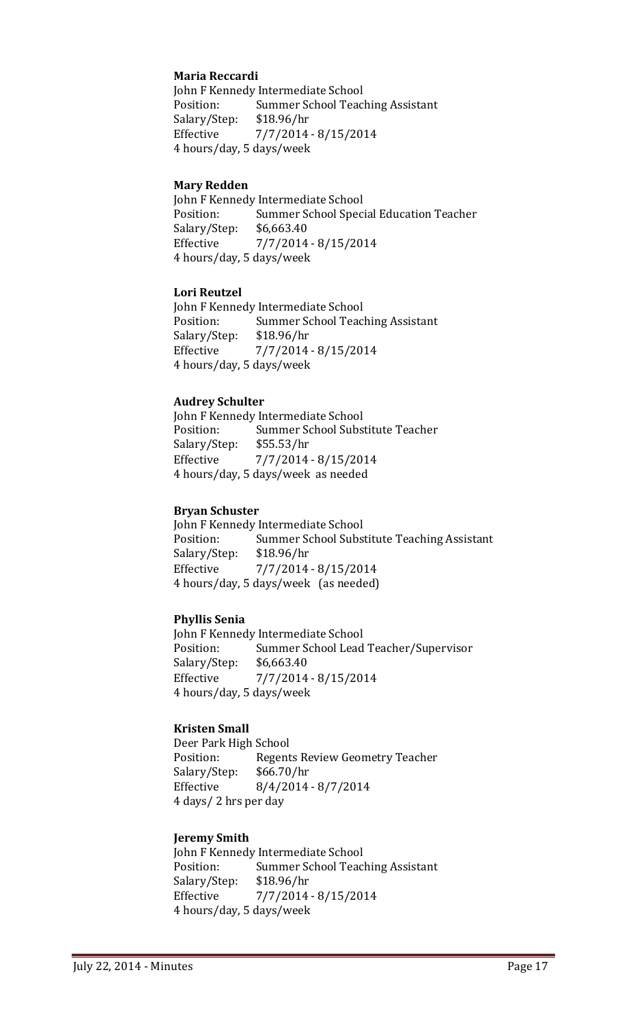#### **Maria Reccardi**

John F Kennedy Intermediate School<br>Position: Summer School Teac Summer School Teaching Assistant<br>\$18.96/hr Salary/Step:<br>Effective Effective 7/7/2014 - 8/15/2014 4 hours/day, 5 days/week

#### **Mary Redden**

John F Kennedy Intermediate School<br>Position: Summer School Spec Summer School Special Education Teacher<br>\$6,663.40 Salary/Step:<br>Effective Effective 7/7/2014 - 8/15/2014 4 hours/day, 5 days/week

#### **Lori Reutzel**

John F Kennedy Intermediate School<br>Position: Summer School Teac Summer School Teaching Assistant<br>\$18.96/hr Salary/Step: Effective 7/7/2014 - 8/15/2014 4 hours/day, 5 days/week

#### **Audrey Schulter**

John F Kennedy Intermediate School<br>Position: Summer School Subs Summer School Substitute Teacher<br>\$55.53/hr Salary/Step:<br>Effective Effective 7/7/2014 - 8/15/2014 4 hours/day, 5 days/week as needed

#### **Bryan Schuster**

John F Kennedy Intermediate School<br>Position: Summer School Subs Summer School Substitute Teaching Assistant<br>\$18.96/hr Salary/Step: Effective 7/7/2014 - 8/15/2014 4 hours/day, 5 days/week (as needed)

## **Phyllis Senia**

John F Kennedy Intermediate School<br>Position: Summer School Lead Summer School Lead Teacher/Supervisor<br>\$6.663.40 Salary/Step:<br>Effective Effective 7/7/2014 - 8/15/2014 4 hours/day, 5 days/week

## **Kristen Small**

Deer Park High School<br>Position: Regent Regents Review Geometry Teacher<br>\$66.70/hr Salary/Step:<br>Effective  $8/4/2014 - 8/7/2014$ 4 days/ 2 hrs per day

#### **Jeremy Smith**

John F Kennedy Intermediate School<br>Position: Summer School Teac Summer School Teaching Assistant<br>\$18.96/hr Salary/Step: Effective 7/7/2014 - 8/15/2014 4 hours/day, 5 days/week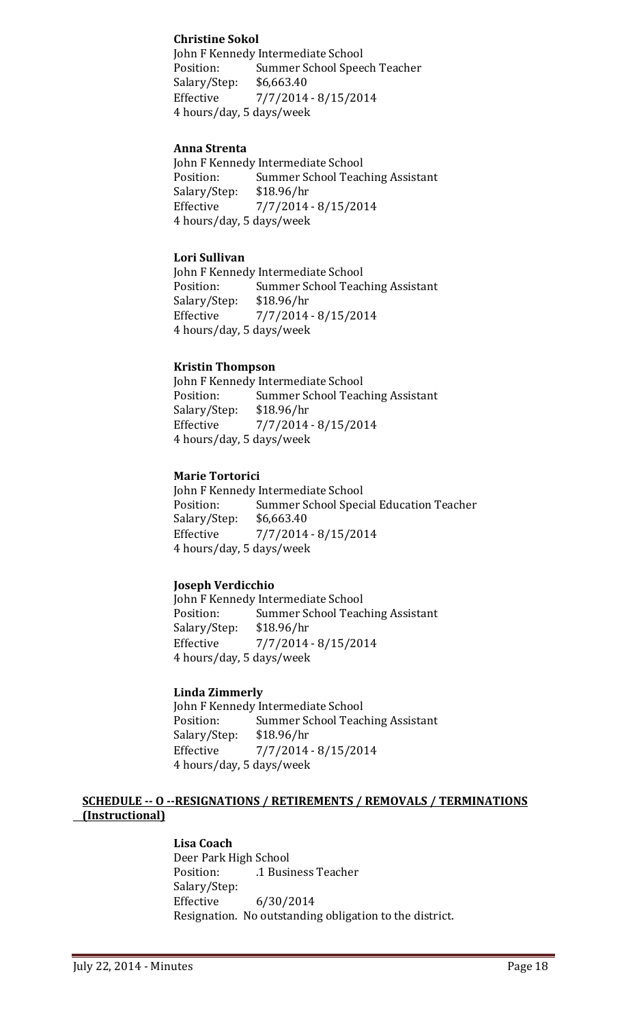## **Christine Sokol**

John F Kennedy Intermediate School<br>Position: Summer School Spee Summer School Speech Teacher<br>\$6,663.40 Salary/Step:<br>Effective Effective 7/7/2014 - 8/15/2014 4 hours/day, 5 days/week

## **Anna Strenta**

John F Kennedy Intermediate School<br>Position: Summer School Teac Summer School Teaching Assistant<br>\$18.96/hr Salary/Step: Effective 7/7/2014 - 8/15/2014 4 hours/day, 5 days/week

## **Lori Sullivan**

John F Kennedy Intermediate School<br>Position: Summer School Teac Summer School Teaching Assistant<br>\$18.96/hr Salary/Step:<br>Effective Effective 7/7/2014 - 8/15/2014 4 hours/day, 5 days/week

#### **Kristin Thompson**

John F Kennedy Intermediate School<br>Position: Summer School Teac Summer School Teaching Assistant<br>\$18.96/hr Salary/Step:<br>Effective Effective 7/7/2014 - 8/15/2014 4 hours/day, 5 days/week

#### **Marie Tortorici**

John F Kennedy Intermediate School<br>Position: Summer School Speci Summer School Special Education Teacher<br>\$6,663.40 Salary/Step:<br>Effective  $7/7/2014 - 8/15/2014$ 4 hours/day, 5 days/week

## **Joseph Verdicchio**

John F Kennedy Intermediate School<br>Position: Summer School Teac Summer School Teaching Assistant<br>\$18.96/hr Salary/Step:<br>Effective Effective 7/7/2014 - 8/15/2014 4 hours/day, 5 days/week

#### **Linda Zimmerly**

John F Kennedy Intermediate School<br>Position: Summer School Teac Summer School Teaching Assistant<br>\$18.96/hr Salary/Step:<br>Effective  $7/7/2014 - 8/15/2014$ 4 hours/day, 5 days/week

#### **SCHEDULE -- O --RESIGNATIONS / RETIREMENTS / REMOVALS / TERMINATIONS (Instructional)**

**Lisa Coach** Deer Park High School<br>Position: ... 1 Busir .1 Business Teacher Salary/Step: Effective 6/30/2014 Resignation. No outstanding obligation to the district.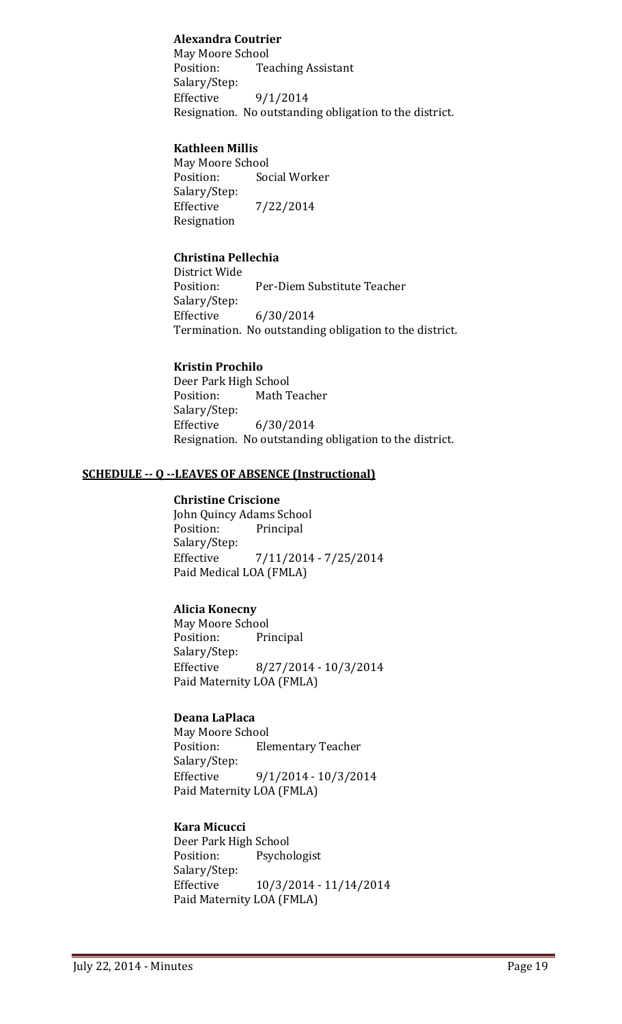## **Alexandra Coutrier**

May Moore School<br>Position: Tea **Teaching Assistant** Salary/Step:<br>Effective  $9/1/2014$ Resignation. No outstanding obligation to the district.

## **Kathleen Millis**

May Moore School<br>Position: Soo Social Worker Salary/Step:<br>Effective Effective 7/22/2014 Resignation

## **Christina Pellechia**

District Wide Per-Diem Substitute Teacher Salary/Step:<br>Effective Effective 6/30/2014 Termination. No outstanding obligation to the district.

## **Kristin Prochilo**

Deer Park High School<br>Position: Math T Math Teacher Salary/Step:<br>Effective  $6/30/2014$ Resignation. No outstanding obligation to the district.

## **SCHEDULE -- Q --LEAVES OF ABSENCE (Instructional)**

#### **Christine Criscione**

John Quincy Adams School<br>Position: Principal Principal Salary/Step:<br>Effective Effective 7/11/2014 - 7/25/2014 Paid Medical LOA (FMLA)

## **Alicia Konecny**

May Moore School<br>Position: Pri Principal Salary/Step:<br>Effective Effective 8/27/2014 - 10/3/2014 Paid Maternity LOA (FMLA)

## **Deana LaPlaca**

May Moore School<br>Position: Ele **Elementary Teacher** Salary/Step:<br>Effective Effective 9/1/2014 - 10/3/2014 Paid Maternity LOA (FMLA)

## **Kara Micucci**

Deer Park High School<br>Position: Psycho Psychologist Salary/Step:<br>Effective Effective 10/3/2014 - 11/14/2014 Paid Maternity LOA (FMLA)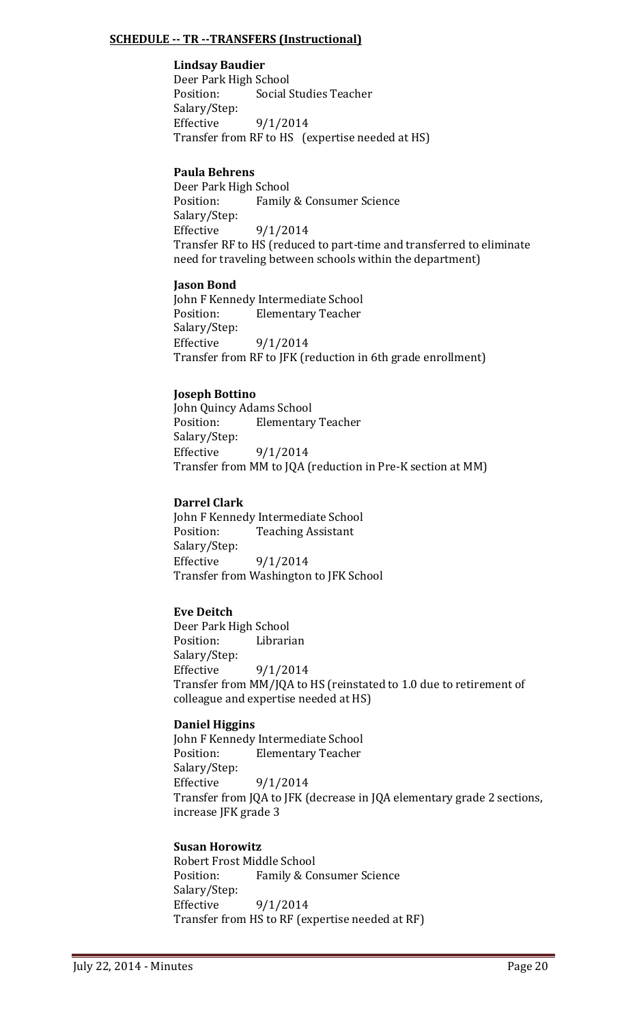## **SCHEDULE -- TR --TRANSFERS (Instructional)**

## **Lindsay Baudier**

Deer Park High School<br>Position: Social S Social Studies Teacher Salary/Step:  $9/1/2014$ Transfer from RF to HS (expertise needed at HS)

## **Paula Behrens**

Deer Park High School Family & Consumer Science Salary/Step:  $9/1/2014$ Transfer RF to HS (reduced to part-time and transferred to eliminate need for traveling between schools within the department)

## **Jason Bond**

John F Kennedy Intermediate School<br>Position: Flementary Teacher **Elementary Teacher** Salary/Step:  $9/1/2014$ Transfer from RF to JFK (reduction in 6th grade enrollment)

## **Joseph Bottino**

John Quincy Adams School<br>Position: Elementary **Elementary Teacher** Salary/Step:  $9/1/2014$ Transfer from MM to JQA (reduction in Pre-K section at MM)

## **Darrel Clark**

John F Kennedy Intermediate School<br>Position: Teaching Assistant **Teaching Assistant** Salary/Step: Effective  $9/1/2014$ Transfer from Washington to JFK School

## **Eve Deitch**

Deer Park High School Librarian Salary/Step:<br>Effective  $9/1/2014$ Transfer from MM/JQA to HS (reinstated to 1.0 due to retirement of colleague and expertise needed at HS)

## **Daniel Higgins**

John F Kennedy Intermediate School<br>Position: Flementary Teacher **Elementary Teacher** Salary/Step: 9/1/2014 Transfer from JQA to JFK (decrease in JQA elementary grade 2 sections, increase JFK grade 3

## **Susan Horowitz**

Robert Frost Middle School<br>Position: Family & Co Family & Consumer Science Salary/Step:<br>Effective Effective 9/1/2014 Transfer from HS to RF (expertise needed at RF)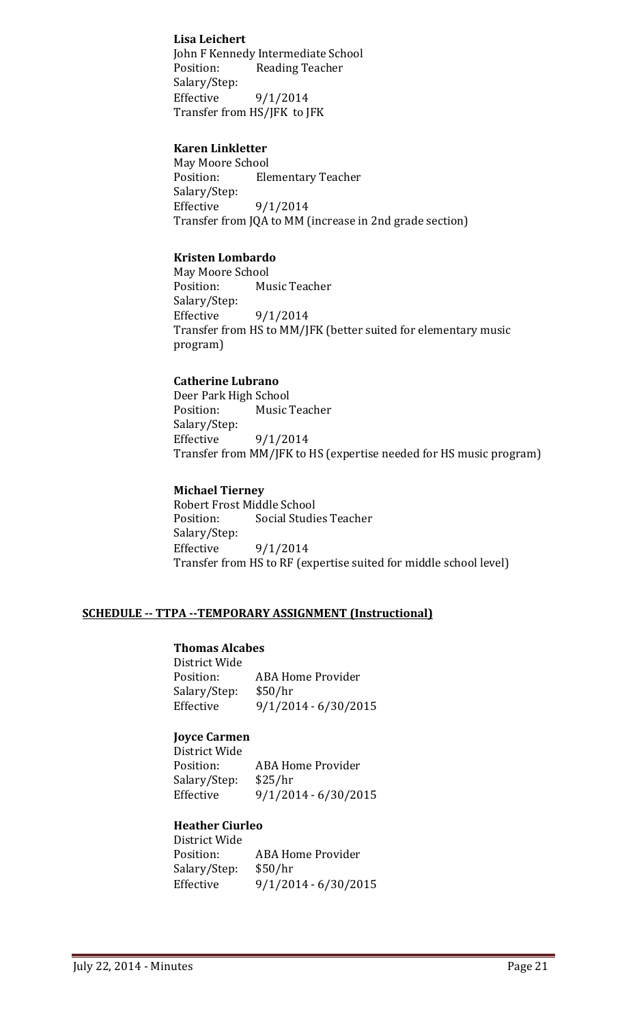## **Lisa Leichert**

John F Kennedy Intermediate School Position: Reading Teacher Salary/Step: Effective  $9/1/2014$ Transfer from HS/JFK to JFK

## **Karen Linkletter**

May Moore School<br>Position: Ele **Elementary Teacher** Salary/Step: Effective  $9/1/2014$ Transfer from JQA to MM (increase in 2nd grade section)

## **Kristen Lombardo**

May Moore School<br>Position: Mu Music Teacher Salary/Step:<br>Effective  $9/1/2014$ Transfer from HS to MM/JFK (better suited for elementary music program)

## **Catherine Lubrano**

Deer Park High School<br>Position: Music Music Teacher Salary/Step: Effective  $9/1/2014$ Transfer from MM/JFK to HS (expertise needed for HS music program)

## **Michael Tierney**

Robert Frost Middle School<br>Position: Social Studie **Social Studies Teacher** Salary/Step: Effective 9/1/2014 Transfer from HS to RF (expertise suited for middle school level)

## **SCHEDULE -- TTPA --TEMPORARY ASSIGNMENT (Instructional)**

## **Thomas Alcabes**

District Wide ABA Home Provider<br>\$50/hr Salary/Step:<br>Effective  $9/1/2014 - 6/30/2015$ 

## **Joyce Carmen**

District Wide ABA Home Provider<br>\$25/hr Salary/Step:<br>Effective  $9/1/2014 - 6/30/2015$ 

## **Heather Ciurleo**

| District Wide |                          |
|---------------|--------------------------|
| Position:     | <b>ABA Home Provider</b> |
| Salary/Step:  | \$50/hr                  |
| Effective     | $9/1/2014 - 6/30/2015$   |
|               |                          |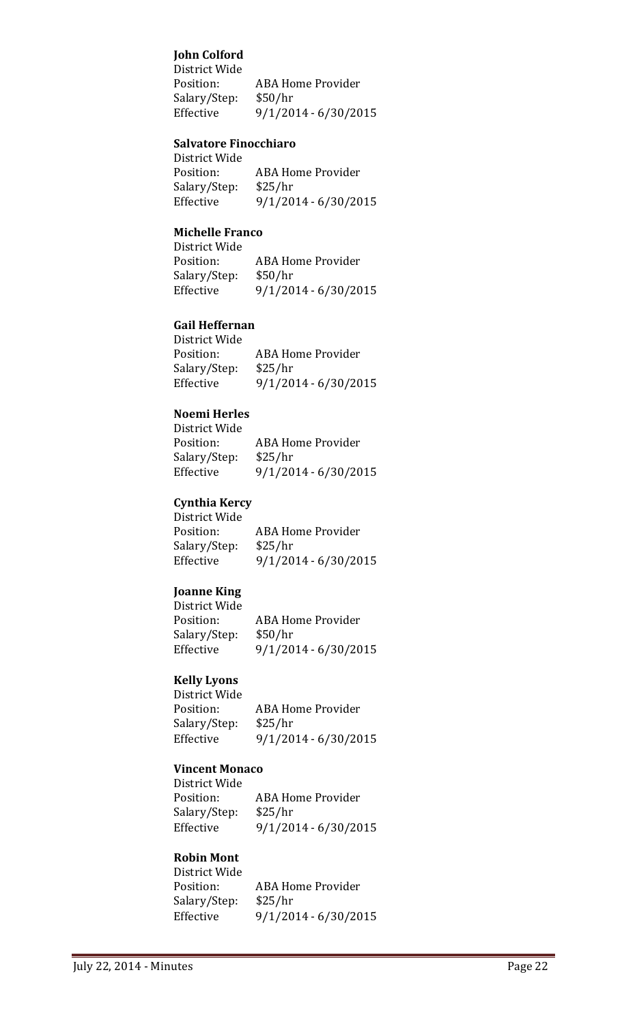## **John Colford**

District Wide ABA Home Provider Salary/Step: \$50/hr<br>Effective 9/1/20 Effective 9/1/2014 - 6/30/2015

#### **Salvatore Finocchiaro**

District Wide ABA Home Provider<br>\$25/hr Salary/Step:<br>Effective Effective 9/1/2014 - 6/30/2015

#### **Michelle Franco**

| District Wide |                          |
|---------------|--------------------------|
| Position:     | <b>ABA Home Provider</b> |
| Salary/Step:  | \$50/hr                  |
| Effective     | $9/1/2014 - 6/30/2015$   |

## **Gail Heffernan**

| District Wide |                        |
|---------------|------------------------|
| Position:     | ABA Home Provider      |
| Salary/Step:  | \$25/hr                |
| Effective     | $9/1/2014 - 6/30/2015$ |

## **Noemi Herles**

| NUCHII HELIES |                        |
|---------------|------------------------|
| District Wide |                        |
| Position:     | ABA Home Provider      |
| Salary/Step:  | \$25/hr                |
| Effective     | $9/1/2014 - 6/30/2015$ |
|               |                        |

## **Cynthia Kercy**

| District Wide |                        |
|---------------|------------------------|
| Position:     | ABA Home Provider      |
| Salary/Step:  | \$25/hr                |
| Effective     | $9/1/2014 - 6/30/2015$ |
|               |                        |

#### **Joanne King**

| District Wide |                          |
|---------------|--------------------------|
| Position:     | <b>ABA Home Provider</b> |
| Salary/Step:  | \$50/hr                  |
| Effective     | $9/1/2014 - 6/30/2015$   |
|               |                          |

## **Kelly Lyons**

| -----, --, --- |                        |
|----------------|------------------------|
| District Wide  |                        |
| Position:      | ABA Home Provider      |
| Salary/Step:   | \$25/hr                |
| Effective      | $9/1/2014 - 6/30/2015$ |
|                |                        |

## **Vincent Monaco**

| <u>VIIILLIIL MUIILLU</u> |                          |
|--------------------------|--------------------------|
| District Wide            |                          |
| Position:                | <b>ABA Home Provider</b> |
| Salary/Step:             | \$25/hr                  |
| Effective                | $9/1/2014 - 6/30/2015$   |
|                          |                          |

#### **Robin Mont** District Wide

| <b>DISLILLE VYIUC</b> |                        |
|-----------------------|------------------------|
| Position:             | ABA Home Provider      |
| Salary/Step:          | \$25/hr                |
| Effective             | $9/1/2014 - 6/30/2015$ |
|                       |                        |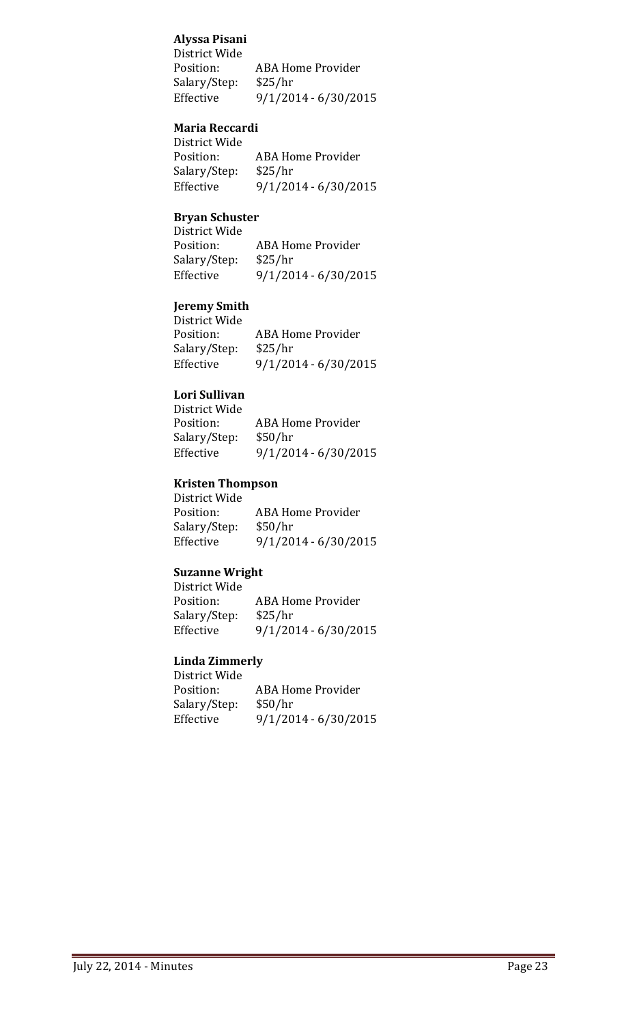## **Alyssa Pisani**

District Wide ABA Home Provider Salary/Step: \$25/hr<br>Effective 9/1/20 Effective 9/1/2014 - 6/30/2015

## **Maria Reccardi**

| District Wide |                        |
|---------------|------------------------|
| Position:     | ABA Home Provider      |
| Salary/Step:  | \$25/hr                |
| Effective     | $9/1/2014 - 6/30/2015$ |
|               |                        |

## **Bryan Schuster**

| DI YAII JUILUSTUI |                          |
|-------------------|--------------------------|
| District Wide     |                          |
| Position:         | <b>ABA Home Provider</b> |
| Salary/Step:      | \$25/hr                  |
| Effective         | $9/1/2014 - 6/30/2015$   |
|                   |                          |

## **Jeremy Smith**

| Jereniy Shinti |                          |
|----------------|--------------------------|
| District Wide  |                          |
| Position:      | <b>ABA Home Provider</b> |
| Salary/Step:   | \$25/hr                  |
| Effective      | $9/1/2014 - 6/30/2015$   |
|                |                          |

## **Lori Sullivan**

| District Wide |                          |
|---------------|--------------------------|
| Position:     | <b>ABA Home Provider</b> |
| Salary/Step:  | \$50/hr                  |
| Effective     | $9/1/2014 - 6/30/2015$   |

### **Kristen Thompson**

| <b>ABA Home Provider</b> |
|--------------------------|
| \$50/hr                  |
| $9/1/2014 - 6/30/2015$   |
|                          |

#### **Suzanne Wright**

| District Wide |                          |
|---------------|--------------------------|
| Position:     | <b>ABA Home Provider</b> |
| Salary/Step:  | \$25/hr                  |
| Effective     | $9/1/2014 - 6/30/2015$   |
|               |                          |

#### **Linda Zimmerly** District Wide

| <b>ABA Home Provider</b> |
|--------------------------|
| \$50/hr                  |
| $9/1/2014 - 6/30/2015$   |
|                          |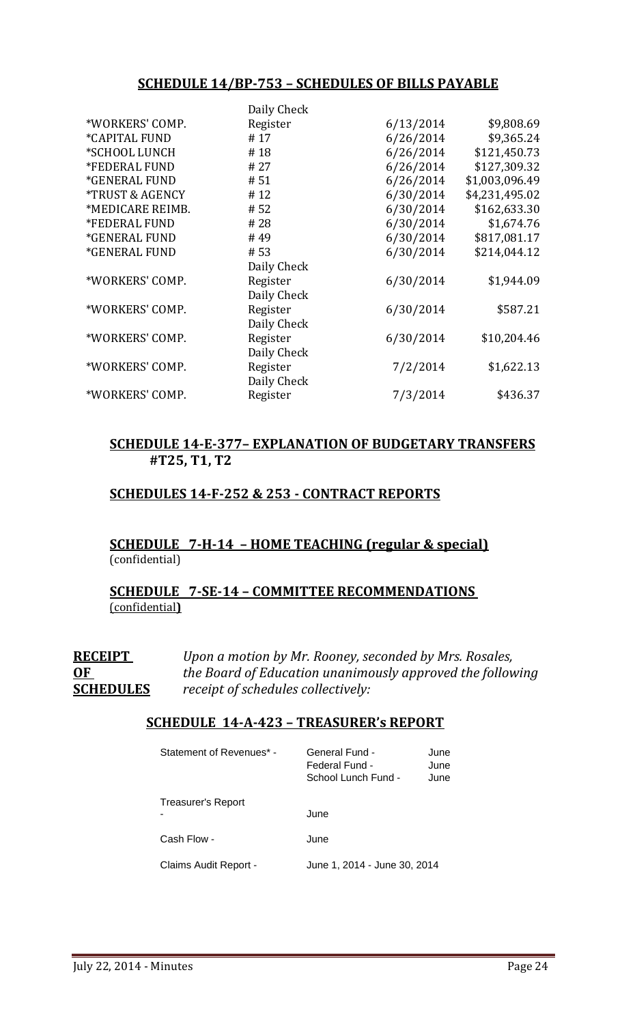## **SCHEDULE 14/BP-753 – SCHEDULES OF BILLS PAYABLE**

| Daily Check                        |           |                |
|------------------------------------|-----------|----------------|
| *WORKERS' COMP.<br>Register        | 6/13/2014 | \$9,808.69     |
| <i><b>*CAPITAL FUND</b></i><br>#17 | 6/26/2014 | \$9,365.24     |
| *SCHOOL LUNCH<br>#18               | 6/26/2014 | \$121,450.73   |
| *FEDERAL FUND<br># 27              | 6/26/2014 | \$127,309.32   |
| *GENERAL FUND<br># 51              | 6/26/2014 | \$1,003,096.49 |
| *TRUST & AGENCY<br>#12             | 6/30/2014 | \$4,231,495.02 |
| *MEDICARE REIMB.<br># 52           | 6/30/2014 | \$162,633.30   |
| *FEDERAL FUND<br>#28               | 6/30/2014 | \$1,674.76     |
| #49<br><i><b>*GENERAL FUND</b></i> | 6/30/2014 | \$817,081.17   |
| *GENERAL FUND<br># 53              | 6/30/2014 | \$214,044.12   |
| Daily Check                        |           |                |
| *WORKERS' COMP.<br>Register        | 6/30/2014 | \$1,944.09     |
| Daily Check                        |           |                |
| *WORKERS' COMP.<br>Register        | 6/30/2014 | \$587.21       |
| Daily Check                        |           |                |
| *WORKERS' COMP.<br>Register        | 6/30/2014 | \$10,204.46    |
| Daily Check                        |           |                |
| *WORKERS' COMP.<br>Register        | 7/2/2014  | \$1,622.13     |
| Daily Check                        |           |                |
| *WORKERS' COMP.<br>Register        | 7/3/2014  | \$436.37       |

## **SCHEDULE 14-E-377– EXPLANATION OF BUDGETARY TRANSFERS #T25, T1, T2**

## **SCHEDULES 14-F-252 & 253 - CONTRACT REPORTS**

## **SCHEDULE 7-H-14 – HOME TEACHING (regular & special)** (confidential)

## **SCHEDULE 7-SE-14 – COMMITTEE RECOMMENDATIONS**  (confidential**)**

**RECEIPT** *Upon a motion by Mr. Rooney, seconded by Mrs. Rosales,*  **OF** *the Board of Education unanimously approved the following* **SCHEDULES** *receipt of schedules collectively:*

## **SCHEDULE 14-A-423 – TREASURER's REPORT**

| Statement of Revenues* - | General Fund -<br>June<br>Federal Fund -<br>June<br>School Lunch Fund -<br>June |
|--------------------------|---------------------------------------------------------------------------------|
| Treasurer's Report       | June                                                                            |
| Cash Flow -              | June                                                                            |
| Claims Audit Report -    | June 1, 2014 - June 30, 2014                                                    |